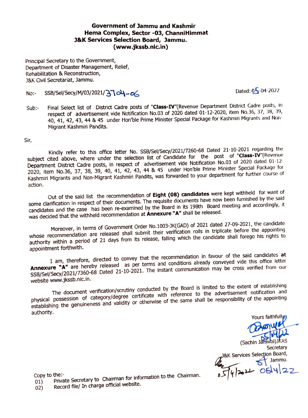## **Government of Jammu and Kashmir Hema Complex, Sector -03, ChannlHlmmat J&K Services Selection Board, Jammu. (www.jkssb.nlc.in)**

Principal Secretary to the Government, Department of Disaster Management, Relief, Rehabilitation & Reconstruction, J&K Civil Secretariat, Jammu.

## No:- SSB/Sel/Secy/M/03/2021/3704-06

Sub:- Final Select list of District Cadre posts of "Class-IV"(Revenue Department District Cadre posts, in respect of advertisement vide Notification No.03 of 2020 dated 01-12-2020, item No.36, 37, 38, 39, 40, 41, 42, 43, 44 & 45 under Hon'ble Prime Minister Special Package for Kashmiri Migrants and Non-Migrant Kashmiri Pandits.

Sir,

Kindly refer to this office letter No. SSB/Sel/Secy/2021/7260-68 Dated 21-10-2021 regarding the subject cited above, where under the selection list of Candidate for the post of "Class-IV"(Revenue Department District Cadre posts, in respect of advertisement vide Notification No.03 of 2020 dated 01-12-2020, item No.36, 37, 38, 39, 40, 41, 42, 43, 44 & 45 under Hon'ble Prime Minister Special Package for Kashmiri Migrants and Non-Migrant Kashmiri Pandits, was forwarded to your department for further course of action.

Out of the said list the recommendation of **Eight (08) candidates** were kept withheld for want of some clarification in respect of their documents. The requisite documents have now been furnished by the said candidates and the case has been re-examined by the Board in its 198th Board meeting and accordingly, It was decided that the withheld recommendation at **Annexure "A"** shall be released.

Moreover, in terms of Government Order No.1003-JK(GAD) of 2021 dated 27-09-2021, the candidate whose recommendation are released shall submit their verification rolls in triplicate before the appointing authority within a period of 21 days from its release, falling which the candidate shall forego his rights to appointment forthwith.

I am, therefore, directed to convey that the recommendation in favour of the said candidates **at**  Annexure **"A"** are hereby released as per terms and conditions already conveyed vide this office letter SSB/Sel/Secy/2021/7360-68 Dated 21-10-2021. The instant communication may be cross verified from our SSB/Sel/Secy/2021/7360-68 Dated 21-10-2021. The instant communication may be cross verified from our website www.jkssb.nic.in.

The document verification/scrutiny conducted by the Board is limited to the extent of establishing physical possession of category/degree certificate with reference to the advertisement notification and establishing the genuineness and validity or otherwise of the same shall be responsibility of the appointing establishing the genuineness and validity or otherwise of the same shall be responsibility of the appointing authority.

Yours faithfully,  $\bm{\varpi}$ (Sac -Secretary Services Selection Board,  $\leftarrow$  Jammu.  $\omega$  05/4/22

Copy to the:-<br>01) Private Secretary to Chairman for information to the Chairman.

02) Record file/ In charge official website.